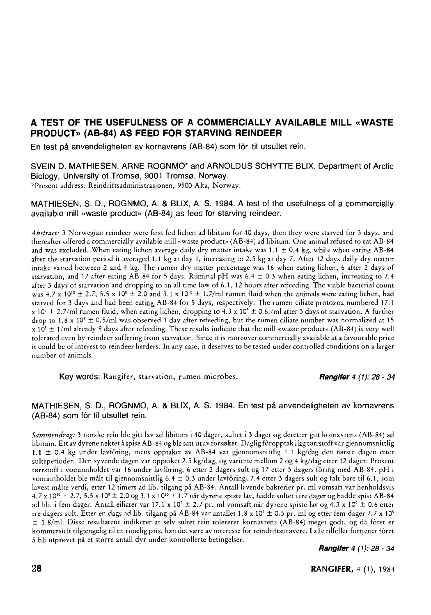# **A TEST OF THE USEFULNESS OF A COMMERCIALLY AVAILABLE MILL «WASTE PRODUCT» (AB-84) AS FEED FOR STARVING REINDEER**

**En test på anvendeligheten av kornavrens (AB-84) som for til utsultet rein.** 

**SVEIN D. MATHIESEN, ARNE ROGNMO\* and ARNOLDUS SCHYTTE BLIX. Department of Arctic Biology, University of Tromsø, 9001 Tromsø, Norway. ''Present address: Reindriftsadministrasjonen, 9500 Alta, Norway.** 

#### **MATHIESEN, S. D., ROGNMO, A. & BLIX, A. S. 1984. A test of the usefulness of a commercially available mill «waste product» (AB-84) as feed for starving reindeer.**

*Abstract:* **3 Norwegian reindeer were first fed lichen ad libitum for 40 days, then they were starved for 3 days, and thereafter offered a commercially available mill «waste product » (AB-84) ad libitum. One animal refused to eat AB-8 4 and was excluded. When eating lichen average daily dry matter intake was 1.1 ± 0.4 kg, while when eating AB-8 4 after the starvation period it averaged 1.1 kg at day 1, increasing to 2.5 kg at day 7. After 12 days daily dry matter intake varied between 2 and 4 kg. The rumen dry matter percentage was 16 when eating lichen, 6 after 2 days of starvation, and 17 after eating AB-8 4 for 5 days. Ruminal p H was 6.4 ± 0.3 when eating lichen, increasing to 7.4 after 3 days of starvation and dropping to an all time low of 6.1, 12 hours after refeeding. The viable bacterial count**  was 4.7 x  $10^{10} \pm 2.7$ , 5.5 x  $10^{8} \pm 2.0$  and 3.1 x  $10^{10} \pm 1.7$ /ml rumen fluid when the animals were eating lichen, had **starved for 3 days and had been eating AB-8 4 for 5 days, respectively. The rumen ciliate protozoa numbered 17.1 x 10<sup>5</sup> ± 2.7/ml rumen fluid, when eating lichen, dropping to 4.3 x 10<sup>5</sup> ± 0.6./ml after 3 days of starvation. A further drop to 1.8 x 10<sup>s</sup> ± 0.5/ml was observed 1 day after refeeding, but the rumen ciliate number was normalized at 15 x 10<sup>5</sup> ± 1/ml already 8 days after refeeding. These results indicate that the mill «waste product» (AB-84) is very well tolerated even by reindeer suffering from starvation. Since it is moreover commercially available at a favourable price it could be of interest to reindeer herders. In any case, it deserves to be tested under controlled conditions on a larger number of animals.** 

**Key words:** Rangifer, starvation, rumen microbes. *Rangifer 4 (1): 28 - 34* 

#### **MATHIESEN, S. D., ROGNMO, A. & BLIX, A. S. 1984. En test på anvendeligheten av kornavrens (AB-84) som for til utsultet rein.**

*Sammendrag:* **3 norske rein ble gitt lav ad libitum i 40 dager, sultet i 3 dager og deretter gitt kornavrens (AB-84) ad libitum. Ett av dyrene nektet å spise AB-8 4 og ble satt ut av forsøket. Daglig foropptak i kg tørrstoff var gjennomsnittlig 1.1 ± 0.4 kg under lavforing, mens opptaket av AB-84 var gjennomsnittlig 1.1 kg/dag den første dagen etter sulteperioden. Den syvende dagen var opptaket 2.5 kg/dag, og varierte mellom 2 og 4 kg/dag etter 12 dager. Prosent tørrstoff i vominnholdet var 16 under lavforing, 6 etter 2 dagers sult og 17 etter 5 dagers foring med AB-84 . p H i vominnholdet ble målt til gjennomsnittlig 6.4 ± 0.3 under lavforing, 7.4 etter 3 dagers sult og falt bare til 6.1, som lavest målte verdi, etter 12 timers ad lib. tilgang på AB-84. Antall levende bakterier pr. ml vomsaft var henholdsvis 4.7 x 10<sup>10</sup> ± 2.7, 5.5 x 10" ± 2.0 og 3.1 x 10'° ± 1.7 når dyrene spiste lav, hadde sultet i tre dager og hadde spist AB-84 ad lib. i fem dager. Antall eiliater var 17.1 x 10<sup>5</sup> ± 2.7 pr. ml vomsaft når dyrene spiste lav og 4.3 x IO<sup>5</sup> ± 0.6 etter tre dagers sult. Etter en dags ad lib. tilgang på AB-84 var antallet 1.8 x 10<sup>5</sup> ± 0.5 pr. ml og etter fem dager 7.7 x 10<sup>5</sup> ± 1.8/ml. Disse resultatene indikerer at selv sultet rein tolererer kornavrens (AB-84) meget godt, og da foret er kommersielt tilgjengelig til en rimelig pris, kan det være av interesse for reindriftsutøvere. I alle tilfeller fortjener foret å bli utprøvet på et større antall dyr under kontrollerte betingelser.** 

*Rangifer 4 (1): 28 • 34*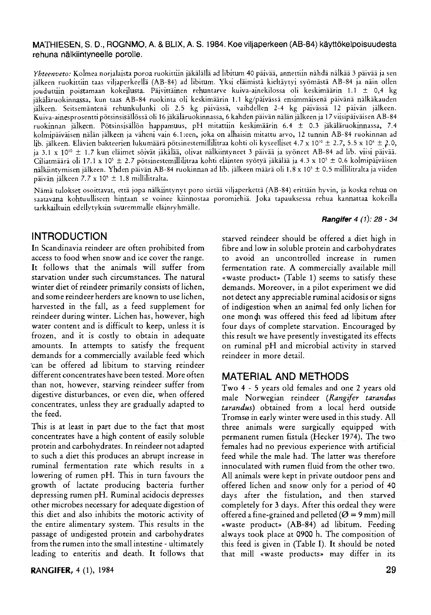### **MATHIESEN, S. D., ROGNMO, A. & BLIX, A. S. 1984. Koe viljaperkeen (AB-84) käyttökelpoisuudesta rehuna nälkiintyneelle porolle.**

*Yhteenveto:* **Kolmea norjalaista poroa ruokittiin jäkälällä ad libitum 40 päivää, annettiin nähdä nälkää 3 päivää ja sen**  iälkeen ruokittiin taas viljaperkeellä (AB-84) ad libitum. Yksi eläimistä kieltäytyi syömästä AB-84 ja näin ollen **jouduttiin poistamaan kokeilusta. Päivittäinen rehuntarve kuiva-ainekilossa oli keskimäärin 1.1 ± 0,4 kg jäkäläruokinnassa, kun taas AB-8 4 ruokinta oli keskimäärin 1.1 kg/päivässä ensimmäisenä päivänä nälkäkauden jälkeen. Seitsemäntenä rehunkulunki oli 2.5 kg päivässä, vaihdellen 2-4 kg päivässä 12 päivän jälkeen. Kuiva-ainesprosentti pötsinsisällössä oli 16 jäkäläruokinnassa, 6 kahden päivän nälän jälkeen ja 17 viisipäiväisen AB-8 4 ruokinnan jälkeen. Pötsinsisällön happamuus, p H mitattiin keskimäärin 6.4 ± 0.3 jäkäläruokinnassa, 7.4 kolmipäiväisen nälän jälkeen ja väheni vain 6.1:een, joka on alhaisin mitattu arvo, 12 tunnin AB-8 4 ruokinnan ad lib. jälkeen. Elävien bakteerien lukumäärä pötsinestemillilitraa kohti oli kyseelliset 4.7 x 10<sup>10</sup> ± 2.7, 5.5 x 10" ± 2.0, ja 3.1 x 10<sup>10</sup> ± 1.7 kun eläimet söivät jäkälää, olivat nälkiintyneet 3 päivää ja syöneet AB-8 4 ad üb. viisi päivää. Ciliatmäärä oli 17.1 x 10<sup>5</sup> ± 2.7 pötsinestemillilitraa kohti eläinten syötyä jäkälää ja 4.3 x 10<sup>5</sup> ± 0.6 kolmipäiväisen nälkiintymisen jälkeen. Yhden päivän AB-84 ruokinnan ad lib. jälkeen määrä oli 1.8 x 10<sup>5</sup> ± 0.5 millilitralta ja viiden päivän jälkeen 7.7 x 10<sup>5</sup> ± 1.8 millilitralta.** 

Nämä tulokset osoittavat, että jopa nälkiintynyt poro sietää viljaperkettä (AB-84) erittäin hyvin, ja koska rehua on **saatavana kohtuulliseen hintaan se voinee kiinnostaa poromiehiä. Joka tapauksessa rehua kannattaa kokeilla tarkkailtuin edellytyksin suuremmalle eläinryhmälle.** 

### *Rangif er 4 (1): 28 - 34*

## **INTRODUCTION**

In Scandinavia reindeer are often prohibited from access to food when snow and ice cover the range. It follows that the animals will suffer from starvation under such circumstances. The natural winter diet of reindeer primarily consists of lichen, and some reindeer herders are known to use lichen, harvested in the fall, as a feed supplement for reindeer during winter. Lichen has, however, high water content and is difficult to keep, unless it is frozen, and it is costly to obtain in adequate amounts. In attempts to satisfy the frequent demands for a commercially available feed which can be offered ad libitum to starving reindeer different concentrates have been tested. More often than not, however, starving reindeer suffer from digestive disturbances, or even die, when offered concentrates, unless they are gradually adapted to the feed.

This is at least in part due to the fact that most concentrates have a high content of easily soluble protein and carbohydrates. In reindeer not adapted to such a diet this produces an abrupt increase in ruminal fermentation rate which results in a lowering of rumen pH. This in turn favours the growth of lactate producing bacteria further depressing rumen pH. Ruminal acidocis depresses other microbes necessary for adequate digestion of this diet and also inhibits the motoric activity of the entire alimentary system. This results in the passage of undigested protein and carbohydrates from the rumen into the small intestine - ultimately leading to enteritis and death. It follows that

**RANGIFER,** 4 (1), 1984 **29** 

starved reindeer should be offered a diet high in fibre and low in soluble protein and carbohydrates to avoid an uncontrolled increase in rumen fermentation rate. A commercially available mill «waste product» (Table 1) seems to satisfy these demands. Moreover, in a pilot experiment we did not detect any appreciable ruminal acidosis or signs of indigestion when an animal fed only lichen for one mondi was offered this feed ad libitum after four days of complete starvation. Encouraged by this result we have presently investigated its effects on ruminal pH and microbial activity in starved reindeer in more detail.

## **MATERIAL AND METHODS**

Two 4 - 5 years old females and one 2 years old male Norwegian reindeer *(Rangifer tarandus tarandus)* obtained from a local herd outside Tromsø in early winter were used in this study. All three animals were surgically equipped with permanent rumen fistula (Hecker 1974). The two females had no previous experience with artificial feed while the male had. The latter was therefore innoculated with rumen fluid from the other two. All animals were kept in private outdoor pens and offered lichen and snow only for a period of 40 days after the fistulation, and then starved completely for 3 days. After this ordeal they were offered a fine-grained and pelleted ( $\varnothing$  = 9 mm) mill «waste product» (AB-84) ad libitum. Feeding always took place at 0900 h. The composition of this feed is given in (Table I). It should be noted that mill «waste products» may differ in its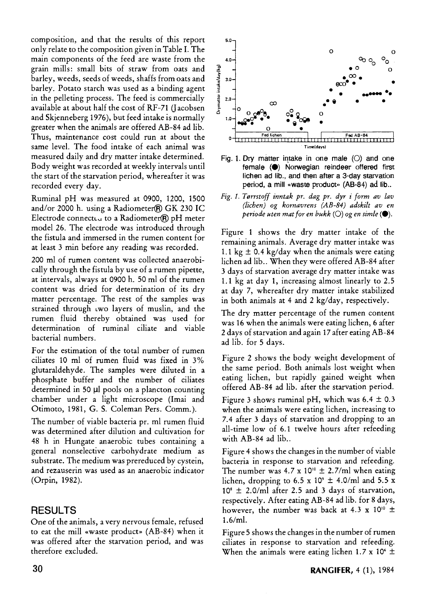composition, and that the results of this report only relate to the composition given in Table I. The main components of the feed are waste from the grain mills: small bits of straw from oats and barley, weeds, seeds of weeds, shaffs from oats and barley. Potato starch was used as a binding agent in the pelleting process. The feed is commercially available at about half the cost of RF-71 (Jacobsen and Skjenneberg 1976), but feed intake is normally greater when the animals are offered AB-84 ad lib. Thus, maintenance cost could run at about the same level. The food intake of each animal was measured daily and dry matter intake determined. Body weight was recorded at weekly intervals until the start of the starvation period, whereafter it was recorded every day.

Ruminal pH was measured at 0900, 1200, 1500 and/or 2000 h. using a Radiometer® GK 230 IC Electrode connecteu to a Radiometer $\bigcirc$  pH meter model 26. The electrode was introduced through the fistula and immersed in the rumen content for at least 3 min before any reading was recorded.

200 ml of rumen content was collected anaerobically through the fistula by use of a rumen pipette, at intervals, always at 0900 h. 50 ml of the rumen content was dried for determination of its dry matter percentage. The rest of the samples was strained through **iwo** layers of muslin, and the rumen fluid thereby obtained was used for determination of ruminal ciliate and viable bacterial numbers.

For the estimation of the total number of rumen ciliates 10 ml of rumen fluid was fixed in 3% glutaraldehyde. The samples were diluted in a phosphate buffer and the number of ciliates determined in 50  $\mu$ l pools on a plancton counting chamber under a light microscope (Imai and Otimoto, 1981, G. S. Coleman Pers. Comm.).

The number of viable bacteria pr. ml rumen fluid was determined after dilution and cultivation for 48 h in Hungate anaerobic tubes containing a general nonselective carbohydrate medium as substrate. The medium was prereduced by cystein, and rezauserin was used as an anaerobic indicator (Orpin, 1982).

# **RESULT S**

One of the animals, a very nervous female, refused to eat the mill «waste product» (AB-84) when it was offered after the starvation period, and was therefore excluded.



**Fig. 1. Dry matter intake in one male (O) and one female (•) Norwegian reindeer offered first lichen ad lib., and then after a 3-day starvation**  period, a mill «waste product» (AB-84) ad lib..

*Fig. 1. Terrstoff inntak pr. dag pr. dyr i form av lav (lichen) og kornavrens (AB-84) adskilt av en periode uten mat for en bukk* ( $\bigcirc$ ) *og en simle* ( $\bigcirc$ ).

Figure 1 shows the dry matter intake of the remaining animals. Average dry matter intake was 1.1 kg  $\pm$  0.4 kg/day when the animals were eating lichen ad lib.. When they were offered AB-84 after 3 days of starvation average dry matter intake was 1.1 kg at day 1, increasing almost linearly to 2.5 at day 7, whereafter dry matter intake stabilized in both animals at 4 and 2 kg/day, respectively.

The dry matter percentage of the rumen content was 16 when the animals were eating lichen, 6 after 2 days of starvation and again 17 after eating AB-84 ad lib. for 5 days.

Figure 2 shows the body weight development of the same period. Both animals lost weight when eating lichen, but rapidly gained weight when offered AB-84 ad lib. after the starvation period.

Figure 3 shows ruminal pH, which was  $6.4 \pm 0.3$ when the animals were eating lichen, increasing to 7.4 after 3 days of starvation and dropping to an all-time low of 6.1 twelve hours after refeeding with AB-84 ad lib..

Figure 4 shows the changes in the number of viable bacteria in response to starvation and refeeding. The number was 4.7 x  $10^{10} \pm 2.7$ /ml when eating lichen, dropping to  $6.5 \times 10^9 \pm 4.0$ /ml and  $5.5 \times$  $10^8 \pm 2.0$ /ml atter 2.5 and 3 days of starvation, respectively. After eating AB-84 ad lib. for 8 days, however, the number was back at 4.3 x  $10^{10} \pm$ 1.6/ml.

Figure 5 shows the changes in the number of rumen ciliates in response to starvation and refeeding. When the animals were eating lichen 1.7 x 10 $^{\circ}$   $\pm$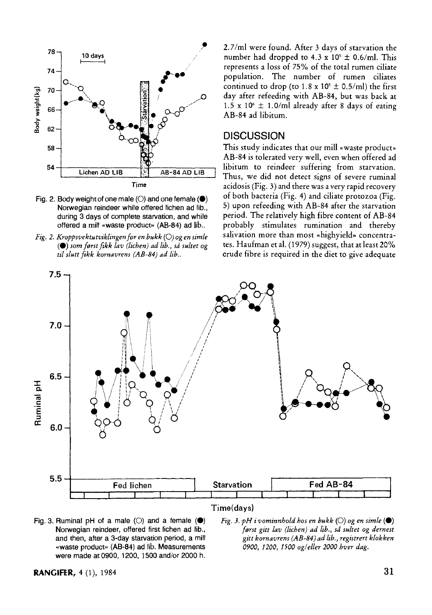

- Fig. 2. Body weight of one male (O) and one female ( $\bullet$ ) **Norwegian reindeer while offered lichen ad lib., during 3 days of complete starvation, and while offered a mill «waste product» (AB-84) ad lib..**
- *Fig. 2. Kroppsvektutviklingen for en bukk* **(O)** *og en simle (•) som først fikk lav (lichen) ad lib., så sultet og til slutt fikk kornavrens (AB-84) ad Ub..*

2.7/ml were found. After 3 days of starvation the number had dropped to 4.3 x 10<sup>5</sup>  $\pm$  0.6/ml. This represents a loss of 75% of the total rumen ciliate population. The number of rumen ciliates continued to drop (to  $1.8 \times 10^5 \pm 0.5$ /ml) the first day after refeeding with AB-84, but was back at 1.5 x 10<sup>6</sup>  $\pm$  1.0/ml already after 8 days of eating AB-84 ad libitum.

### **DISCUSSION**

This study indicates that our mill «waste product» AB-84 is tolerated very well, even when offered ad libitum to reindeer suffering from starvation. Thus, we did not detect signs of severe ruminal acidosis (Fig. 3) and there was a very rapid recovery of both bacteria (Fig. 4) and ciliate protozoa (Fig. 5) upon refeeding with AB-84 after the starvation period. The relatively high fibre content of AB-84 probably stimulates rumination and thereby salivation more than most «highyield» concentrates. Haufman et al. (1979) suggest, that at least 20% crude fibre is required in the diet to give adequate



Fig. 3. Ruminal  $pH$  of a male  $(O)$  and a female  $(\bigcirc)$ **Norwegian reindeer, offered first lichen ad lib., and then, after a 3-day starvation period, a mill «waste product" (AB-84) ad lib. Measurements were made at 0900, 1200, 1500 and/or 2000 h.** 

*fig.* 3. *pH i* vominnhold hos en bukk  $(\bigcirc)$  og en simle  $(\bullet)$ *først gitt lav (lichen) ad lib., sd sultet og dernest gitt kornavrens (AB-84) ad lib., registrert klokken 0900, 1200, 1500 og/eller 2000 hver dag.*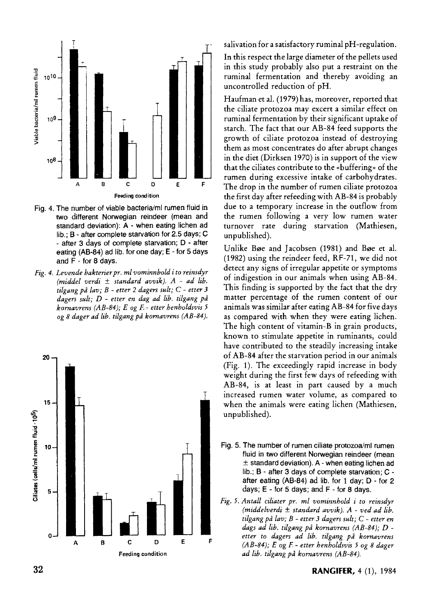

- **Fig. 4. The number of viable bacteria/ml rumen fluid in two different Norwegian reindeer (mean and standard deviation): A - when eating lichen ad lib.; B - after complete starvation for 2.5 days; C - after 3 days of complete starvation; D - after eating (AB-84) ad lib. for one day; E - for 5 days and F - for 8 days.**
- *Fig. 4. Levende bakterier pr. ml vominnbold i to reinsdyr (middel verdi ± standard avvik). A - ad lib. tilgang på lav; B - etter 2 dagers sult; C - etter 3 dagers sult; D - etter en dag ad lib. tilgang på kornavrens (AB-84); E og F - etter henholdsvis 5 og 8 dager ad lib. tilgang på kornavrens (AB-84).*



salivation for a satisfactory ruminal pH-regulation.

In this respect the large diameter of the pellets used in this study probably also put a restraint on the ruminal fermentation and thereby avoiding an uncontrolled reduction of pH.

Haufman et al. (1979) has, moreover, reported that the ciliate protozoa may excert a similar effect on ruminal fermentation by their significant uptake of starch. The fact that our AB-84 feed supports the growth of ciliate protozoa instead of destroying them as most concentrates do after abrupt changes in the diet (Dirksen 1970) is in support of the view that the ciliates contribute to the «buffering» of the rumen during excessive intake of carbohydrates. The drop in the number of rumen ciliate protozoa the first day after refeeding with AB-84 is probably due to a temporary increase in the outflow from the rumen following a very low rumen water turnover rate during starvation (Mathiesen, unpublished).

Unlike Bøe and Jacobsen (1981) and Bøe et al. (1982) using the reindeer feed, RF-71, we did not detect any signs of irregular appetite or symptoms of indigestion in our animals when using AB-84. This finding is supported by the fact that the dry matter percentage of the rumen content of our animals was similar after eating AB-84 for five days as compared with when they were eating lichen. The high content of vitamin-B in grain products, known to stimulate appetite in ruminants, could have contributed to the steadily increasing intake of AB-84 after the starvation period in our animals (Fig. 1). The exceedingly rapid increase in body weight during the first few days of refeeding with AB-84, is at least in part caused by a much increased rumen water volume, as compared to when the animals were eating lichen (Mathiesen, unpublished).

- **Fig. 5. The number of rumen ciliate protozoa/ml rumen fluid in two different Norwegian reindeer (mean ± standard deviation). A - when eating lichen ad lib.; B - after 3 days of complete starvation; C after eating (AB-84) ad lib. for 1 day; D - for 2 days; E - for 5 days; and F - for 8 days.**
- *Fig. 5. Antall ciliater pr. ml vominnhold i to reinsdyr (middelverdi ± standard avvik). A - ved ad lib. tilgang på lav; B - etter 3 dagers sult; C - etter en dags ad lib. tilgang på kornavrens (AB-84); D etter to dagers ad lib. tilgang på kornavrens (AB-84); E og F - etter henholdsvis 5 og 8 dager ad lib. tilgang på kornavrens (AB-84).*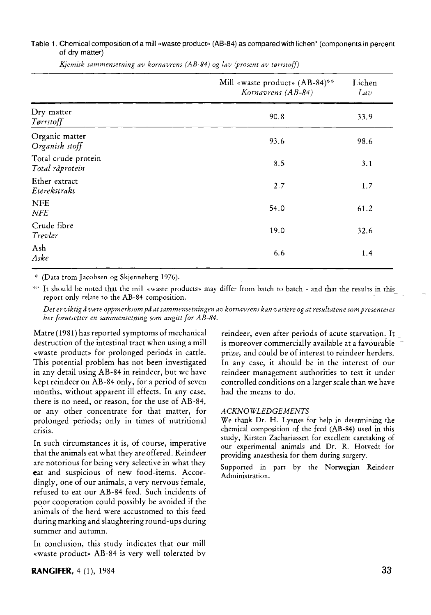### **Table 1. Chemical composition of a mill «waste product» (AB-84) as compared with lichen\* (components in percent of dry matter)**

|                                        | Mill «waste product» (AB-84)**<br>Kornavrens (AB-84) | Lichen<br>Lav |
|----------------------------------------|------------------------------------------------------|---------------|
| Dry matter<br>Tørrstoff                | 90.8                                                 | 33.9          |
| Organic matter<br>Organisk stoff       | 93.6                                                 | 98.6          |
| Total crude protein<br>Total råprotein | 8.5                                                  | 3.1           |
| Ether extract<br>Eterekstrakt          | 2.7                                                  | 1.7           |
| <b>NFE</b><br>NFE                      | 54.0                                                 | 61.2          |
| Crude fibre<br>Trevler                 | 19.0                                                 | 32.6          |
| Ash<br>Aske                            | 6.6                                                  | 1.4           |

*Kjemisk sammensetning av kornavrens (AB-84) og lav (prosent av tørrstoff)* 

**(Data from Jacobsen og Skjenneberg 1976).** 

 $**$  It should be noted that the mill «waste products» may differ from batch to batch - and that the results in this report only relate to the AB-84 composition.

*Det er viktig å være oppmerksom på at sammensetningen av kornavrens kan variere og at resultatene som presenteres ber forutsetter en sammensetning som angitt for AB-84.* 

Matre (1981) has reported symptoms of mechanical destruction of the intestinal tract when using a mill «waste product» for prolonged periods in cattle. This potential problem has not been investigated in any detail using AB-84 in reindeer, but we have kept reindeer on AB-84 only, for a period of seven months, without apparent ill effects. In any case, there is no need, or reason, for the use of AB-84, or any other concentrate for that matter, for prolonged periods; only in times of nutritional crisis.

In such circumstances it is, of course, imperative that the animals eat what they are offered. Reindeer are notorious for being very selective in what they **eat** and suspicious of new food-items. Accordingly, one of our animals, a very nervous female, refused to eat our AB-84 feed. Such incidents of poor cooperation could possibly be avoided if the animals of the herd were accustomed to this feed during marking and slaughtering round-ups during summer and autumn.

In conclusion, this study indicates that our mill «waste product» AB-84 is very well tolerated by

reindeer, even after periods of acute starvation. It is moreover commercially available at a favourable prize, and could be of interest to reindeer herders. In any case, it should be in the interest of our reindeer management authorities to test it under controlled conditions on a larger scale than we have had the means to do.

#### *ACKNOWLEDGEMENTS*

We thank Dr. H. Lysnes for help in determining the **chemical composition of the feed (AB-84) used in this study, Kirsten Zachariassen for excellent caretaking of our experimental animals and Dr. R. Hotvedt for providing anaesthesia for them during surgery.** 

**Supported in part by the Norwegian Reindeer Administration.** 

### **RANGIFER,** 4 (1), 1984 **33**